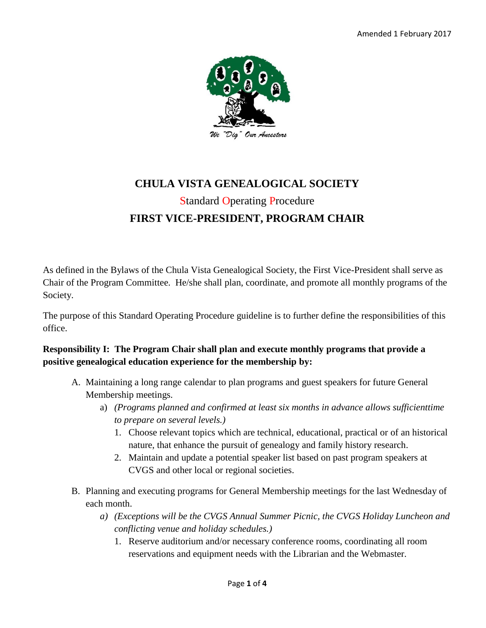

# **CHULA VISTA GENEALOGICAL SOCIETY** Standard Operating Procedure **FIRST VICE-PRESIDENT, PROGRAM CHAIR**

As defined in the Bylaws of the Chula Vista Genealogical Society, the First Vice-President shall serve as Chair of the Program Committee. He/she shall plan, coordinate, and promote all monthly programs of the Society.

The purpose of this Standard Operating Procedure guideline is to further define the responsibilities of this office.

#### **Responsibility I: The Program Chair shall plan and execute monthly programs that provide a positive genealogical education experience for the membership by:**

- A. Maintaining a long range calendar to plan programs and guest speakers for future General Membership meetings.
	- a) *(Programs planned and confirmed at least six months in advance allows sufficienttime to prepare on several levels.)*
		- 1. Choose relevant topics which are technical, educational, practical or of an historical nature, that enhance the pursuit of genealogy and family history research.
		- 2. Maintain and update a potential speaker list based on past program speakers at CVGS and other local or regional societies.
- B. Planning and executing programs for General Membership meetings for the last Wednesday of each month.
	- *a) (Exceptions will be the CVGS Annual Summer Picnic, the CVGS Holiday Luncheon and conflicting venue and holiday schedules.)*
		- 1. Reserve auditorium and/or necessary conference rooms, coordinating all room reservations and equipment needs with the Librarian and the Webmaster.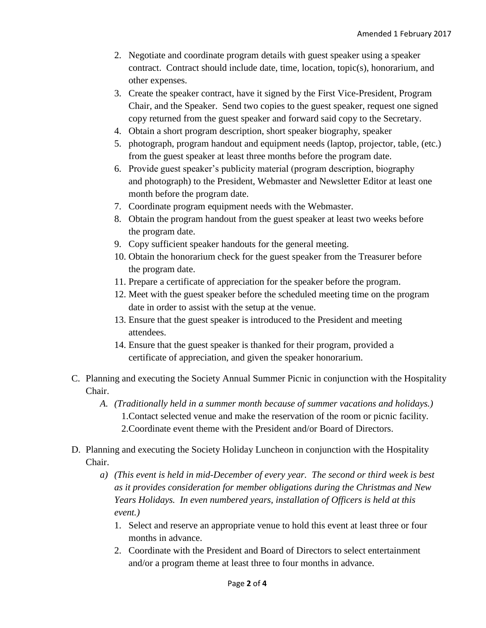- 2. Negotiate and coordinate program details with guest speaker using a speaker contract. Contract should include date, time, location, topic(s), honorarium, and other expenses.
- 3. Create the speaker contract, have it signed by the First Vice-President, Program Chair, and the Speaker. Send two copies to the guest speaker, request one signed copy returned from the guest speaker and forward said copy to the Secretary.
- 4. Obtain a short program description, short speaker biography, speaker
- 5. photograph, program handout and equipment needs (laptop, projector, table, (etc.) from the guest speaker at least three months before the program date.
- 6. Provide guest speaker's publicity material (program description, biography and photograph) to the President, Webmaster and Newsletter Editor at least one month before the program date.
- 7. Coordinate program equipment needs with the Webmaster.
- 8. Obtain the program handout from the guest speaker at least two weeks before the program date.
- 9. Copy sufficient speaker handouts for the general meeting.
- 10. Obtain the honorarium check for the guest speaker from the Treasurer before the program date.
- 11. Prepare a certificate of appreciation for the speaker before the program.
- 12. Meet with the guest speaker before the scheduled meeting time on the program date in order to assist with the setup at the venue.
- 13. Ensure that the guest speaker is introduced to the President and meeting attendees.
- 14. Ensure that the guest speaker is thanked for their program, provided a certificate of appreciation, and given the speaker honorarium.
- C. Planning and executing the Society Annual Summer Picnic in conjunction with the Hospitality Chair.
	- *A. (Traditionally held in a summer month because of summer vacations and holidays.)* 1.Contact selected venue and make the reservation of the room or picnic facility. 2.Coordinate event theme with the President and/or Board of Directors.
- D. Planning and executing the Society Holiday Luncheon in conjunction with the Hospitality Chair.
	- *a) (This event is held in mid-December of every year. The second or third week is best as it provides consideration for member obligations during the Christmas and New Years Holidays. In even numbered years, installation of Officers is held at this event.)*
		- 1. Select and reserve an appropriate venue to hold this event at least three or four months in advance.
		- 2. Coordinate with the President and Board of Directors to select entertainment and/or a program theme at least three to four months in advance.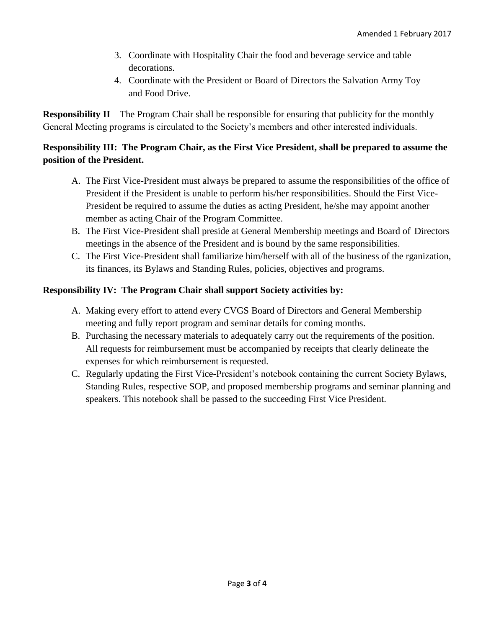- 3. Coordinate with Hospitality Chair the food and beverage service and table decorations.
- 4. Coordinate with the President or Board of Directors the Salvation Army Toy and Food Drive.

**Responsibility II** – The Program Chair shall be responsible for ensuring that publicity for the monthly General Meeting programs is circulated to the Society's members and other interested individuals.

#### **Responsibility III: The Program Chair, as the First Vice President, shall be prepared to assume the position of the President.**

- A. The First Vice-President must always be prepared to assume the responsibilities of the office of President if the President is unable to perform his/her responsibilities. Should the First Vice-President be required to assume the duties as acting President, he/she may appoint another member as acting Chair of the Program Committee.
- B. The First Vice-President shall preside at General Membership meetings and Board of Directors meetings in the absence of the President and is bound by the same responsibilities.
- C. The First Vice-President shall familiarize him/herself with all of the business of the rganization, its finances, its Bylaws and Standing Rules, policies, objectives and programs.

#### **Responsibility IV: The Program Chair shall support Society activities by:**

- A. Making every effort to attend every CVGS Board of Directors and General Membership meeting and fully report program and seminar details for coming months.
- B. Purchasing the necessary materials to adequately carry out the requirements of the position. All requests for reimbursement must be accompanied by receipts that clearly delineate the expenses for which reimbursement is requested.
- C. Regularly updating the First Vice-President's notebook containing the current Society Bylaws, Standing Rules, respective SOP, and proposed membership programs and seminar planning and speakers. This notebook shall be passed to the succeeding First Vice President.